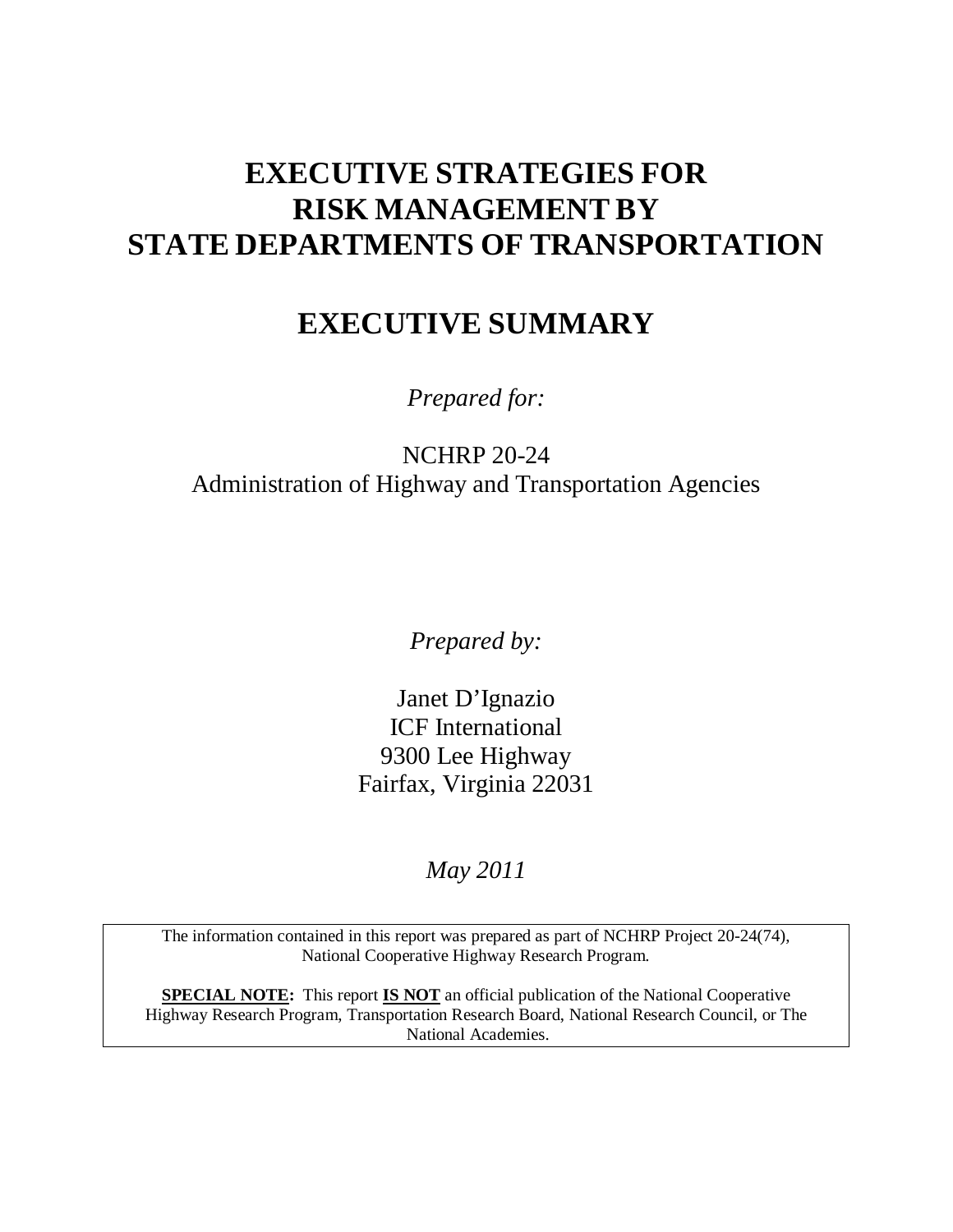# **EXECUTIVE STRATEGIES FOR RISK MANAGEMENT BY STATE DEPARTMENTS OF TRANSPORTATION**

## **EXECUTIVE SUMMARY**

*Prepared for:* 

NCHRP 20-24 Administration of Highway and Transportation Agencies

*Prepared by:* 

Janet D'Ignazio ICF International 9300 Lee Highway Fairfax, Virginia 22031

*May 2011* 

The information contained in this report was prepared as part of NCHRP Project 20-24(74), National Cooperative Highway Research Program.

**SPECIAL NOTE:** This report **IS NOT** an official publication of the National Cooperative Highway Research Program, Transportation Research Board, National Research Council, or The National Academies.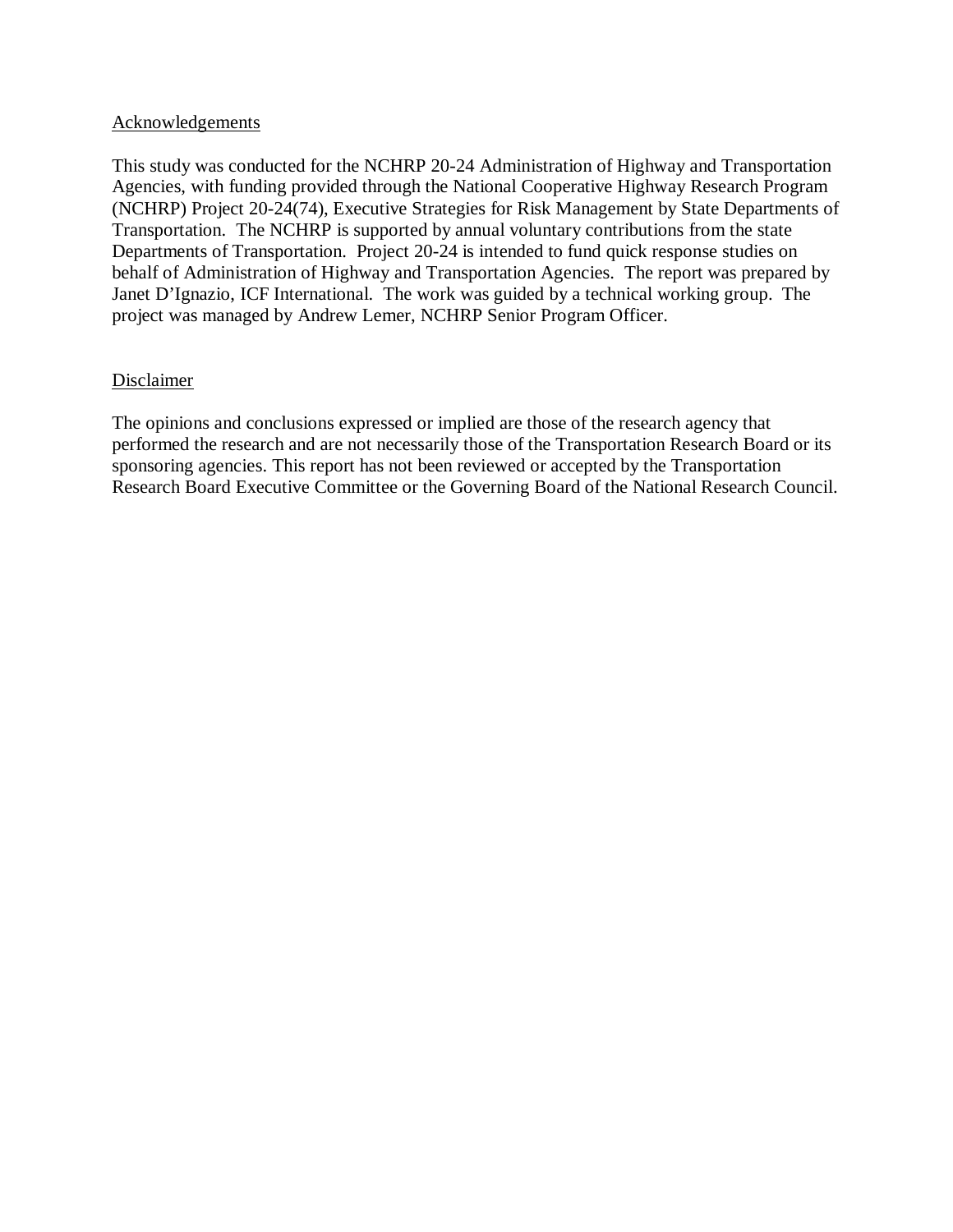#### Acknowledgements

This study was conducted for the NCHRP 20-24 Administration of Highway and Transportation Agencies, with funding provided through the National Cooperative Highway Research Program (NCHRP) Project 20-24(74), Executive Strategies for Risk Management by State Departments of Transportation. The NCHRP is supported by annual voluntary contributions from the state Departments of Transportation. Project 20-24 is intended to fund quick response studies on behalf of Administration of Highway and Transportation Agencies. The report was prepared by Janet D'Ignazio, ICF International. The work was guided by a technical working group. The project was managed by Andrew Lemer, NCHRP Senior Program Officer.

#### Disclaimer

The opinions and conclusions expressed or implied are those of the research agency that performed the research and are not necessarily those of the Transportation Research Board or its sponsoring agencies. This report has not been reviewed or accepted by the Transportation Research Board Executive Committee or the Governing Board of the National Research Council.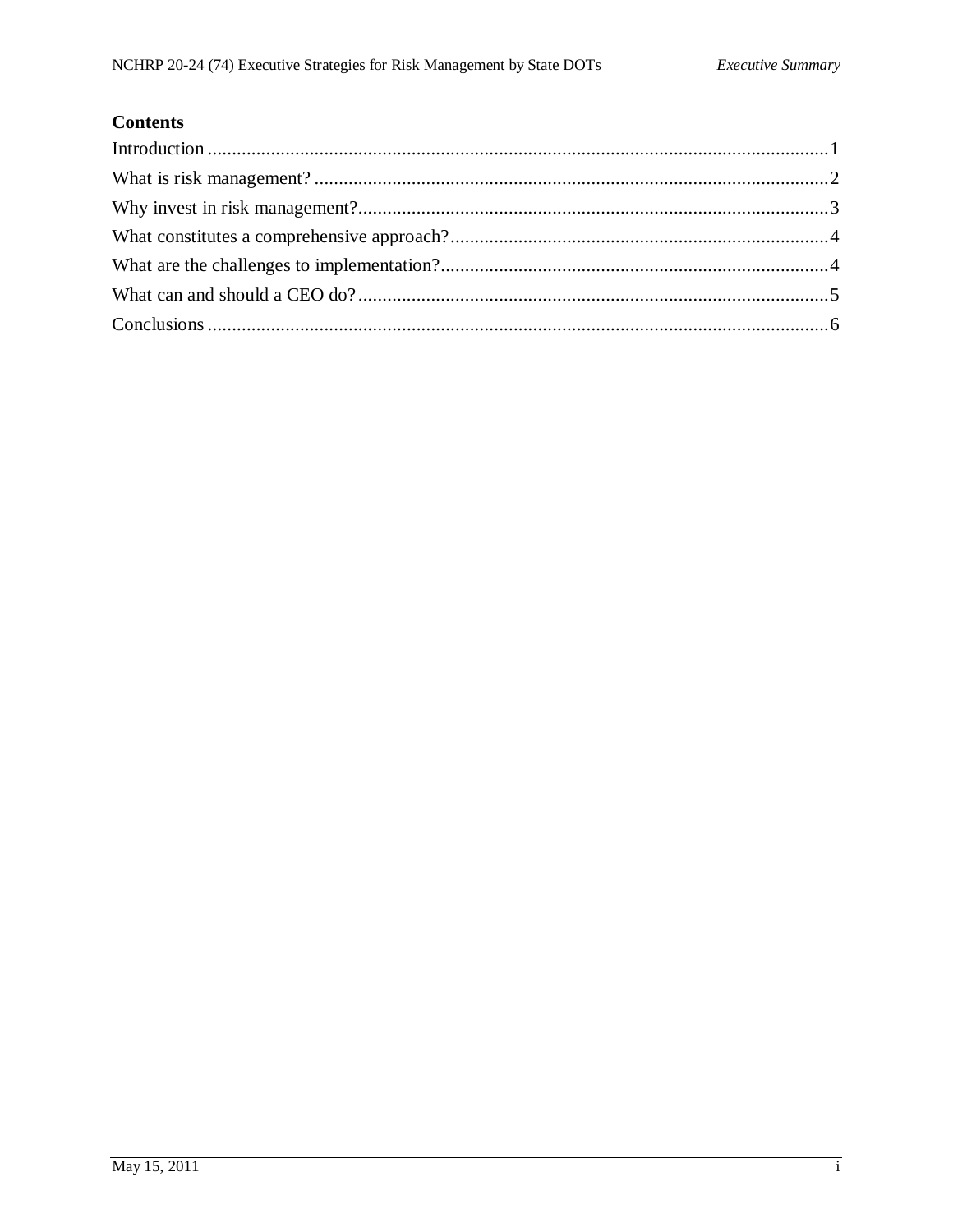### **Contents**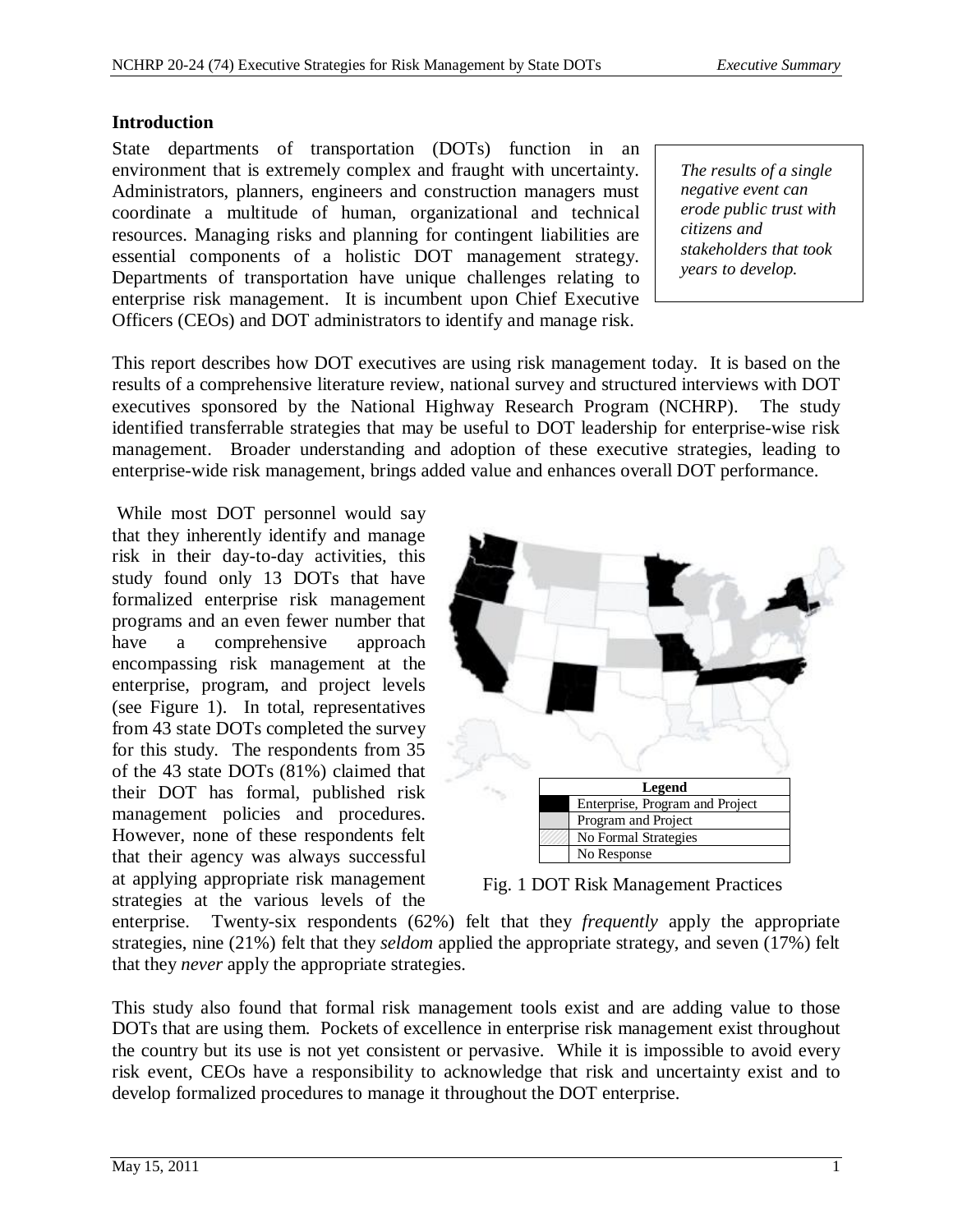#### **Introduction**

State departments of transportation (DOTs) function in an environment that is extremely complex and fraught with uncertainty. Administrators, planners, engineers and construction managers must coordinate a multitude of human, organizational and technical resources. Managing risks and planning for contingent liabilities are essential components of a holistic DOT management strategy. Departments of transportation have unique challenges relating to enterprise risk management. It is incumbent upon Chief Executive Officers (CEOs) and DOT administrators to identify and manage risk.

*The results of a single negative event can erode public trust with citizens and stakeholders that took years to develop.* 

This report describes how DOT executives are using risk management today. It is based on the results of a comprehensive literature review, national survey and structured interviews with DOT executives sponsored by the National Highway Research Program (NCHRP). The study identified transferrable strategies that may be useful to DOT leadership for enterprise-wise risk management. Broader understanding and adoption of these executive strategies, leading to enterprise-wide risk management, brings added value and enhances overall DOT performance.

While most DOT personnel would say that they inherently identify and manage risk in their day-to-day activities, this study found only 13 DOTs that have formalized enterprise risk management programs and an even fewer number that have a comprehensive approach encompassing risk management at the enterprise, program, and project levels (see Figure 1). In total, representatives from 43 state DOTs completed the survey for this study. The respondents from 35 of the 43 state DOTs (81%) claimed that their DOT has formal, published risk management policies and procedures. However, none of these respondents felt that their agency was always successful at applying appropriate risk management strategies at the various levels of the



Fig. 1 DOT Risk Management Practices

enterprise. Twenty-six respondents (62%) felt that they *frequently* apply the appropriate strategies, nine (21%) felt that they *seldom* applied the appropriate strategy, and seven (17%) felt that they *never* apply the appropriate strategies.

This study also found that formal risk management tools exist and are adding value to those DOTs that are using them. Pockets of excellence in enterprise risk management exist throughout the country but its use is not yet consistent or pervasive. While it is impossible to avoid every risk event, CEOs have a responsibility to acknowledge that risk and uncertainty exist and to develop formalized procedures to manage it throughout the DOT enterprise.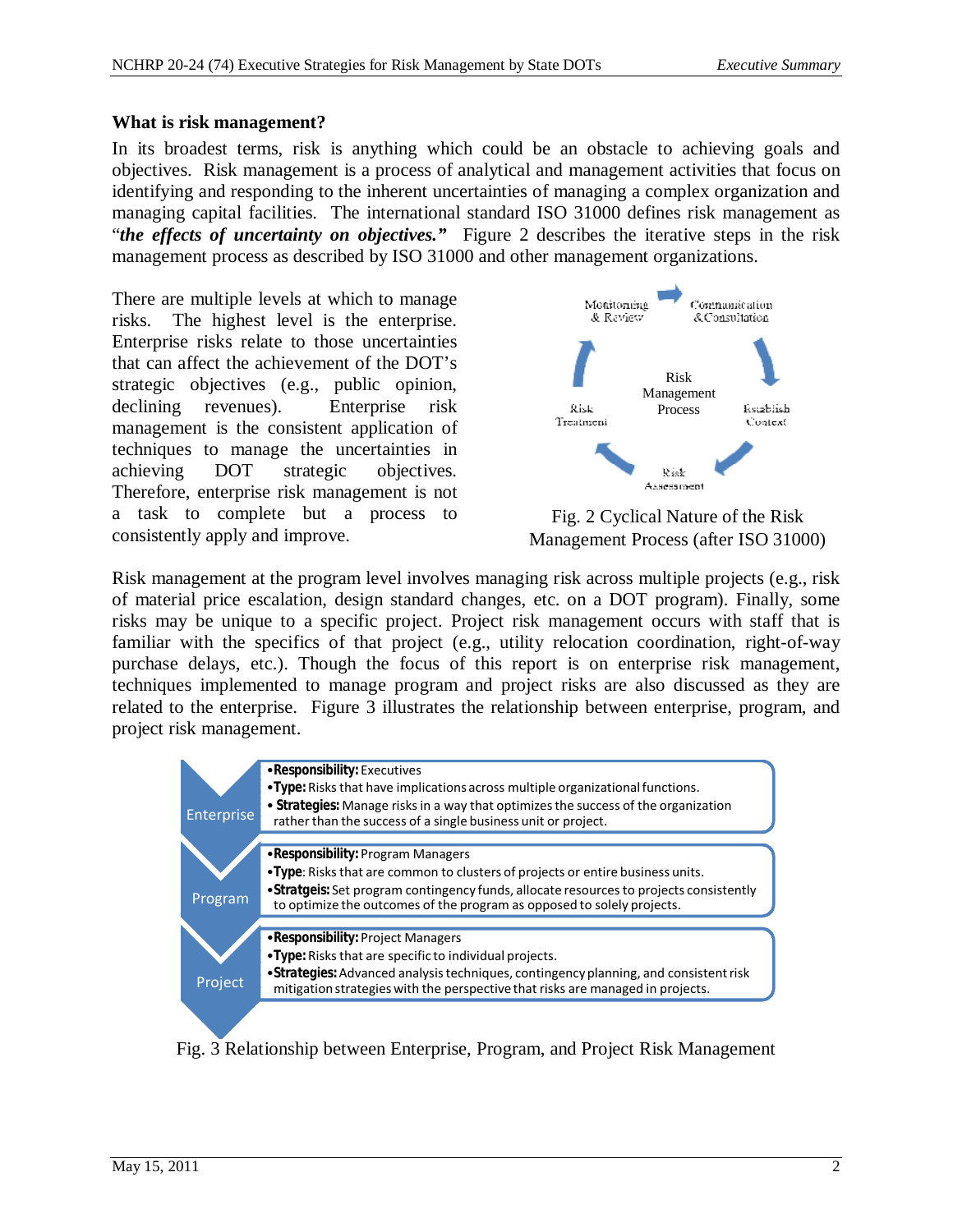#### **What is risk management?**

In its broadest terms, risk is anything which could be an obstacle to achieving goals and objectives. Risk management is a process of analytical and management activities that focus on identifying and responding to the inherent uncertainties of managing a complex organization and managing capital facilities. The international standard ISO 31000 defines risk management as "*the effects of uncertainty on objectives."* Figure 2 describes the iterative steps in the risk management process as described by ISO 31000 and other management organizations.

There are multiple levels at which to manage risks. The highest level is the enterprise. Enterprise risks relate to those uncertainties that can affect the achievement of the DOT's strategic objectives (e.g., public opinion, declining revenues). Enterprise risk management is the consistent application of techniques to manage the uncertainties in achieving DOT strategic objectives. Therefore, enterprise risk management is not a task to complete but a process to consistently apply and improve.



Fig. 2 Cyclical Nature of the Risk Management Process (after ISO 31000)

Risk management at the program level involves managing risk across multiple projects (e.g., risk of material price escalation, design standard changes, etc. on a DOT program). Finally, some risks may be unique to a specific project. Project risk management occurs with staff that is familiar with the specifics of that project (e.g., utility relocation coordination, right-of-way purchase delays, etc.). Though the focus of this report is on enterprise risk management, techniques implemented to manage program and project risks are also discussed as they are related to the enterprise. Figure 3 illustrates the relationship between enterprise, program, and project risk management.



Fig. 3 Relationship between Enterprise, Program, and Project Risk Management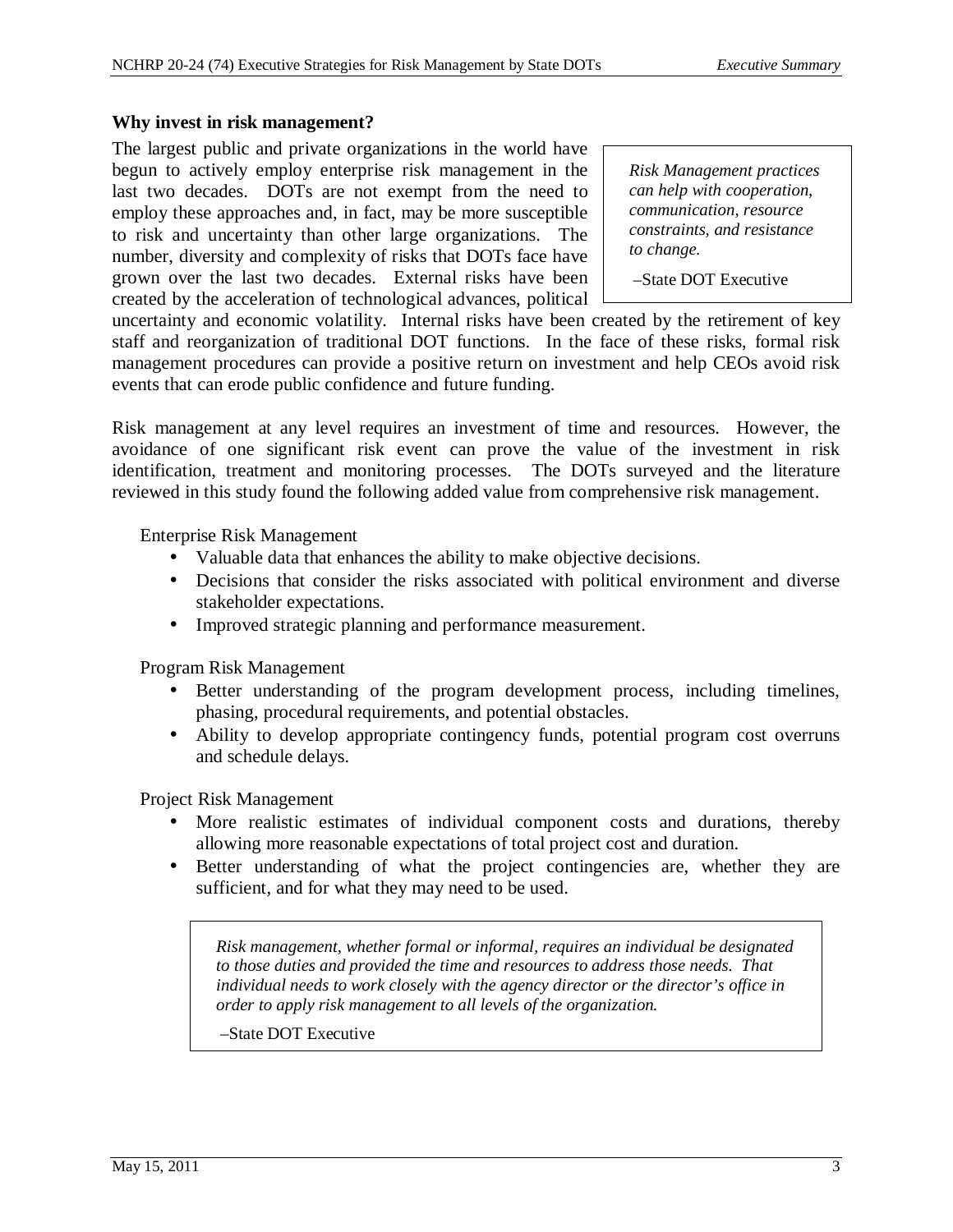#### **Why invest in risk management?**

The largest public and private organizations in the world have begun to actively employ enterprise risk management in the last two decades. DOTs are not exempt from the need to employ these approaches and, in fact, may be more susceptible to risk and uncertainty than other large organizations. The number, diversity and complexity of risks that DOTs face have grown over the last two decades. External risks have been created by the acceleration of technological advances, political

*Risk Management practices can help with cooperation, communication, resource constraints, and resistance to change.* 

–State DOT Executive

uncertainty and economic volatility. Internal risks have been created by the retirement of key staff and reorganization of traditional DOT functions. In the face of these risks, formal risk management procedures can provide a positive return on investment and help CEOs avoid risk events that can erode public confidence and future funding.

Risk management at any level requires an investment of time and resources. However, the avoidance of one significant risk event can prove the value of the investment in risk identification, treatment and monitoring processes. The DOTs surveyed and the literature reviewed in this study found the following added value from comprehensive risk management.

Enterprise Risk Management

- Valuable data that enhances the ability to make objective decisions.
- Decisions that consider the risks associated with political environment and diverse stakeholder expectations.
- Improved strategic planning and performance measurement.

Program Risk Management

- Better understanding of the program development process, including timelines, phasing, procedural requirements, and potential obstacles.
- Ability to develop appropriate contingency funds, potential program cost overruns and schedule delays.

Project Risk Management

- More realistic estimates of individual component costs and durations, thereby allowing more reasonable expectations of total project cost and duration.
- Better understanding of what the project contingencies are, whether they are sufficient, and for what they may need to be used.

*Risk management, whether formal or informal, requires an individual be designated to those duties and provided the time and resources to address those needs. That individual needs to work closely with the agency director or the director's office in order to apply risk management to all levels of the organization.* 

#### –State DOT Executive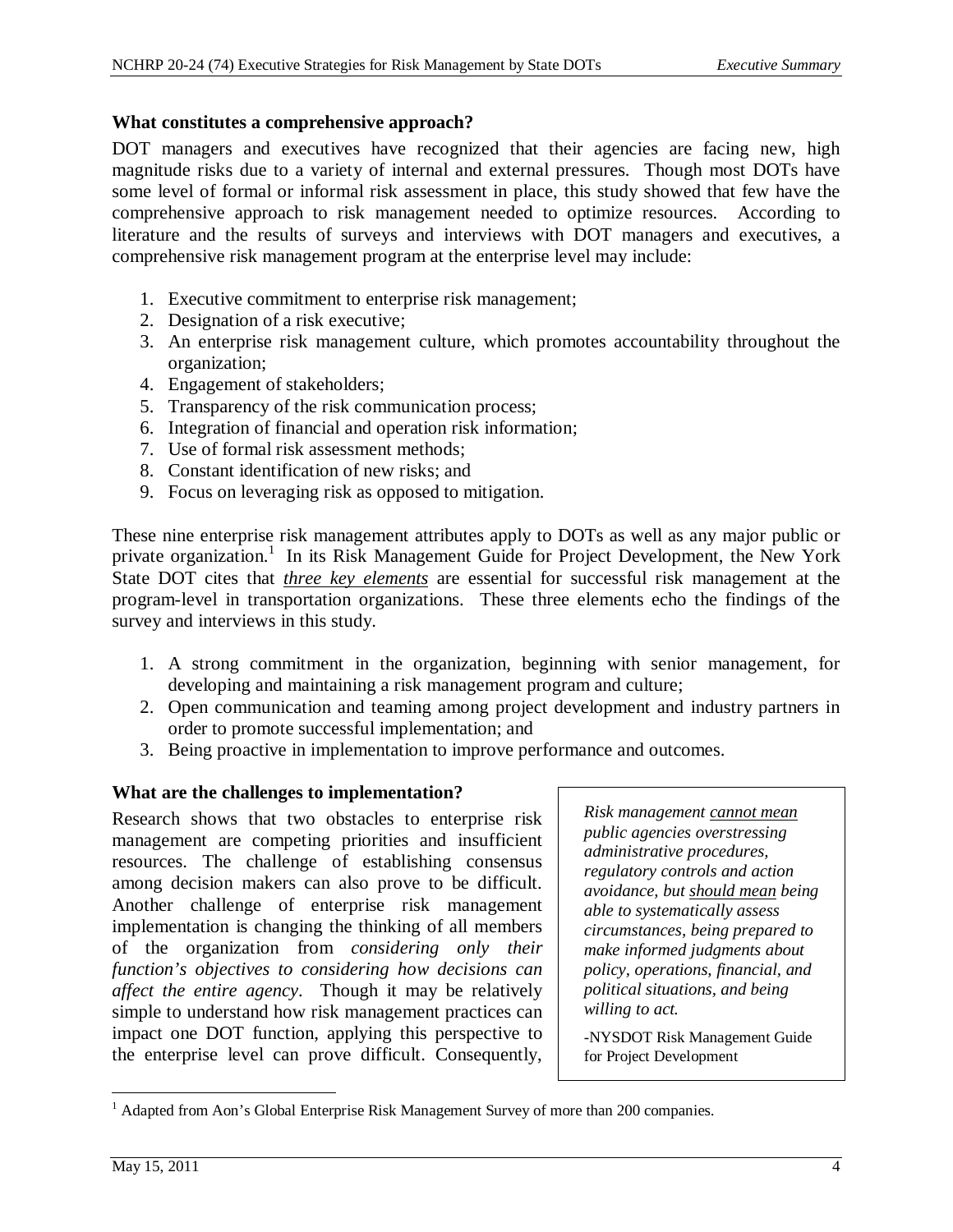#### **What constitutes a comprehensive approach?**

DOT managers and executives have recognized that their agencies are facing new, high magnitude risks due to a variety of internal and external pressures. Though most DOTs have some level of formal or informal risk assessment in place, this study showed that few have the comprehensive approach to risk management needed to optimize resources. According to literature and the results of surveys and interviews with DOT managers and executives, a comprehensive risk management program at the enterprise level may include:

- 1. Executive commitment to enterprise risk management;
- 2. Designation of a risk executive;
- 3. An enterprise risk management culture, which promotes accountability throughout the organization;
- 4. Engagement of stakeholders;
- 5. Transparency of the risk communication process;
- 6. Integration of financial and operation risk information;
- 7. Use of formal risk assessment methods;
- 8. Constant identification of new risks; and
- 9. Focus on leveraging risk as opposed to mitigation.

These nine enterprise risk management attributes apply to DOTs as well as any major public or private organization.<sup>1</sup> In its Risk Management Guide for Project Development, the New York State DOT cites that *three key elements* are essential for successful risk management at the program-level in transportation organizations. These three elements echo the findings of the survey and interviews in this study.

- 1. A strong commitment in the organization, beginning with senior management, for developing and maintaining a risk management program and culture;
- 2. Open communication and teaming among project development and industry partners in order to promote successful implementation; and
- 3. Being proactive in implementation to improve performance and outcomes.

#### **What are the challenges to implementation?**

Research shows that two obstacles to enterprise risk management are competing priorities and insufficient resources. The challenge of establishing consensus among decision makers can also prove to be difficult. Another challenge of enterprise risk management implementation is changing the thinking of all members of the organization from *considering only their function's objectives to considering how decisions can affect the entire agency*. Though it may be relatively simple to understand how risk management practices can impact one DOT function, applying this perspective to the enterprise level can prove difficult. Consequently,

*Risk management cannot mean public agencies overstressing administrative procedures, regulatory controls and action avoidance, but should mean being able to systematically assess circumstances, being prepared to make informed judgments about policy, operations, financial, and political situations, and being willing to act.* 

-NYSDOT Risk Management Guide for Project Development

 $\overline{a}$  $<sup>1</sup>$  Adapted from Aon's Global Enterprise Risk Management Survey of more than 200 companies.</sup>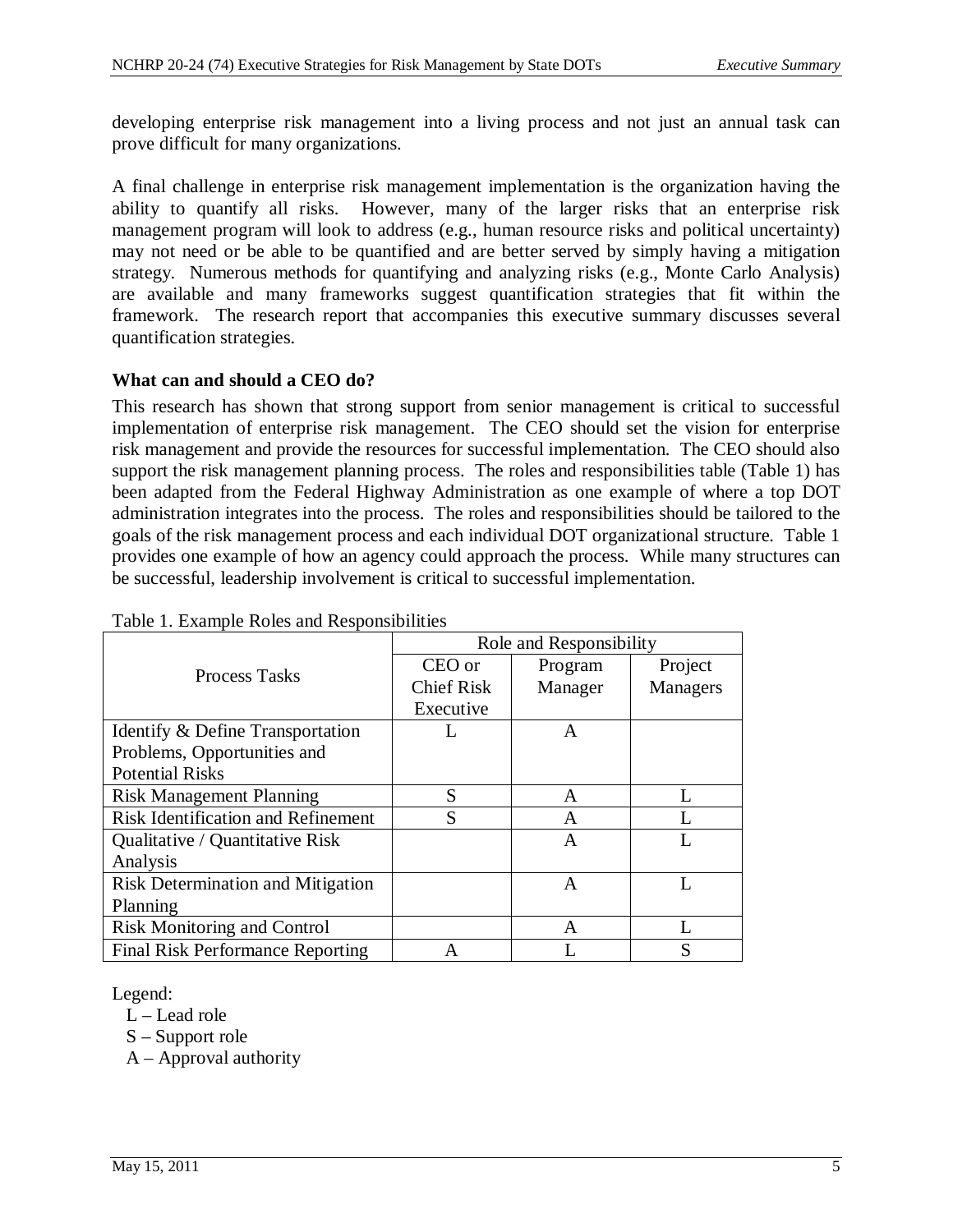developing enterprise risk management into a living process and not just an annual task can prove difficult for many organizations.

A final challenge in enterprise risk management implementation is the organization having the ability to quantify all risks. However, many of the larger risks that an enterprise risk management program will look to address (e.g., human resource risks and political uncertainty) may not need or be able to be quantified and are better served by simply having a mitigation strategy. Numerous methods for quantifying and analyzing risks (e.g., Monte Carlo Analysis) are available and many frameworks suggest quantification strategies that fit within the framework. The research report that accompanies this executive summary discusses several quantification strategies.

#### **What can and should a CEO do?**

This research has shown that strong support from senior management is critical to successful implementation of enterprise risk management. The CEO should set the vision for enterprise risk management and provide the resources for successful implementation. The CEO should also support the risk management planning process. The roles and responsibilities table (Table 1) has been adapted from the Federal Highway Administration as one example of where a top DOT administration integrates into the process. The roles and responsibilities should be tailored to the goals of the risk management process and each individual DOT organizational structure. Table 1 provides one example of how an agency could approach the process. While many structures can be successful, leadership involvement is critical to successful implementation.

|                                           | Role and Responsibility |         |                 |
|-------------------------------------------|-------------------------|---------|-----------------|
| Process Tasks                             | CEO or                  | Program | Project         |
|                                           | <b>Chief Risk</b>       | Manager | <b>Managers</b> |
|                                           | Executive               |         |                 |
| Identify & Define Transportation          |                         | A       |                 |
| Problems, Opportunities and               |                         |         |                 |
| <b>Potential Risks</b>                    |                         |         |                 |
| <b>Risk Management Planning</b>           | S                       | A       |                 |
| <b>Risk Identification and Refinement</b> | S                       | A       |                 |
| Qualitative / Quantitative Risk           |                         | A       |                 |
| Analysis                                  |                         |         |                 |
| <b>Risk Determination and Mitigation</b>  |                         | A       |                 |
| Planning                                  |                         |         |                 |
| <b>Risk Monitoring and Control</b>        |                         | A       |                 |
| <b>Final Risk Performance Reporting</b>   | A                       |         | S               |

Table 1. Example Roles and Responsibilities

Legend:

L – Lead role

S – Support role

A – Approval authority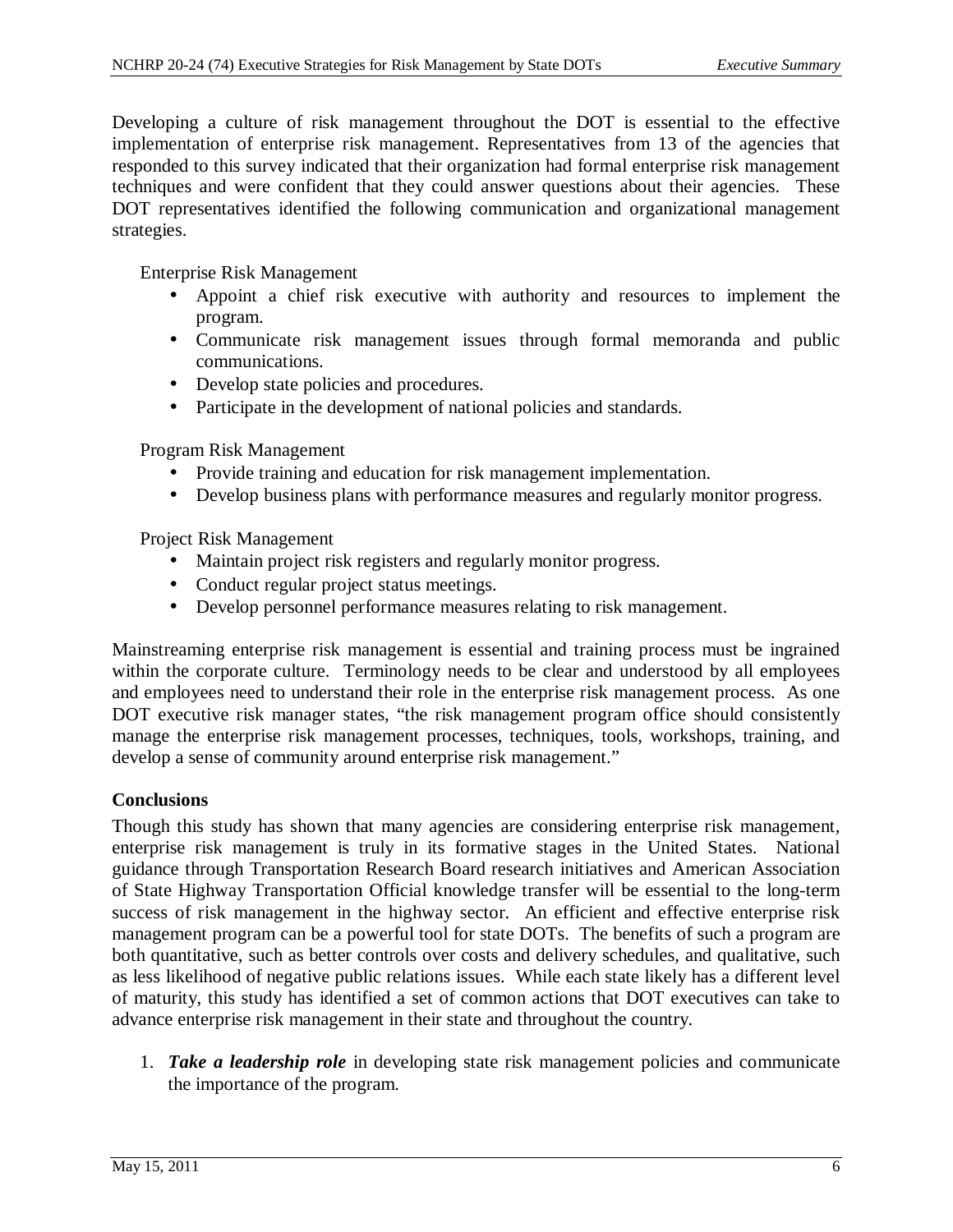Developing a culture of risk management throughout the DOT is essential to the effective implementation of enterprise risk management. Representatives from 13 of the agencies that responded to this survey indicated that their organization had formal enterprise risk management techniques and were confident that they could answer questions about their agencies. These DOT representatives identified the following communication and organizational management strategies.

Enterprise Risk Management

- Appoint a chief risk executive with authority and resources to implement the program.
- Communicate risk management issues through formal memoranda and public communications.
- Develop state policies and procedures.
- Participate in the development of national policies and standards.

Program Risk Management

- Provide training and education for risk management implementation.
- Develop business plans with performance measures and regularly monitor progress.

Project Risk Management

- Maintain project risk registers and regularly monitor progress.
- Conduct regular project status meetings.
- Develop personnel performance measures relating to risk management.

Mainstreaming enterprise risk management is essential and training process must be ingrained within the corporate culture. Terminology needs to be clear and understood by all employees and employees need to understand their role in the enterprise risk management process. As one DOT executive risk manager states, "the risk management program office should consistently manage the enterprise risk management processes, techniques, tools, workshops, training, and develop a sense of community around enterprise risk management."

#### **Conclusions**

Though this study has shown that many agencies are considering enterprise risk management, enterprise risk management is truly in its formative stages in the United States. National guidance through Transportation Research Board research initiatives and American Association of State Highway Transportation Official knowledge transfer will be essential to the long-term success of risk management in the highway sector. An efficient and effective enterprise risk management program can be a powerful tool for state DOTs. The benefits of such a program are both quantitative, such as better controls over costs and delivery schedules, and qualitative, such as less likelihood of negative public relations issues. While each state likely has a different level of maturity, this study has identified a set of common actions that DOT executives can take to advance enterprise risk management in their state and throughout the country.

1. *Take a leadership role* in developing state risk management policies and communicate the importance of the program.